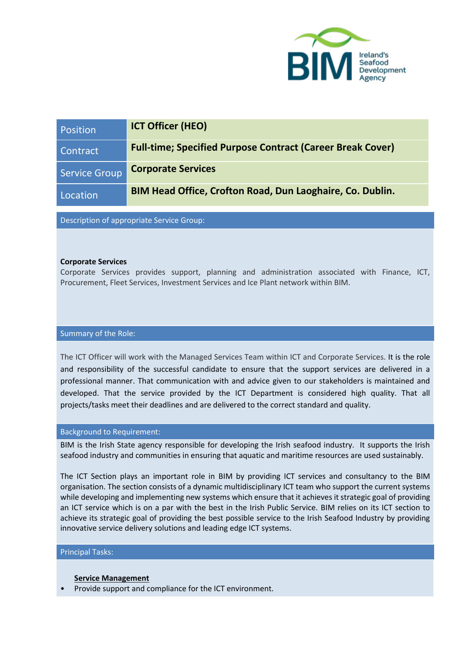

| Position             | <b>ICT Officer (HEO)</b>                                          |
|----------------------|-------------------------------------------------------------------|
| Contract             | <b>Full-time; Specified Purpose Contract (Career Break Cover)</b> |
| <b>Service Group</b> | <b>Corporate Services</b>                                         |
| Location             | BIM Head Office, Crofton Road, Dun Laoghaire, Co. Dublin.         |

Description of appropriate Service Group:

### **Corporate Services**

Corporate Services provides support, planning and administration associated with Finance, ICT, Procurement, Fleet Services, Investment Services and Ice Plant network within BIM.

#### Summary of the Role:

The ICT Officer will work with the Managed Services Team within ICT and Corporate Services. It is the role and responsibility of the successful candidate to ensure that the support services are delivered in a professional manner. That communication with and advice given to our stakeholders is maintained and developed. That the service provided by the ICT Department is considered high quality. That all projects/tasks meet their deadlines and are delivered to the correct standard and quality.

#### Background to Requirement:

BIM is the Irish State agency responsible for developing the Irish seafood industry. It supports the Irish seafood industry and communities in ensuring that aquatic and maritime resources are used sustainably.

The ICT Section plays an important role in BIM by providing ICT services and consultancy to the BIM organisation. The section consists of a dynamic multidisciplinary ICT team who support the current systems while developing and implementing new systems which ensure that it achieves it strategic goal of providing an ICT service which is on a par with the best in the Irish Public Service. BIM relies on its ICT section to achieve its strategic goal of providing the best possible service to the Irish Seafood Industry by providing innovative service delivery solutions and leading edge ICT systems.

#### Principal Tasks:

#### **Service Management**

• Provide support and compliance for the ICT environment.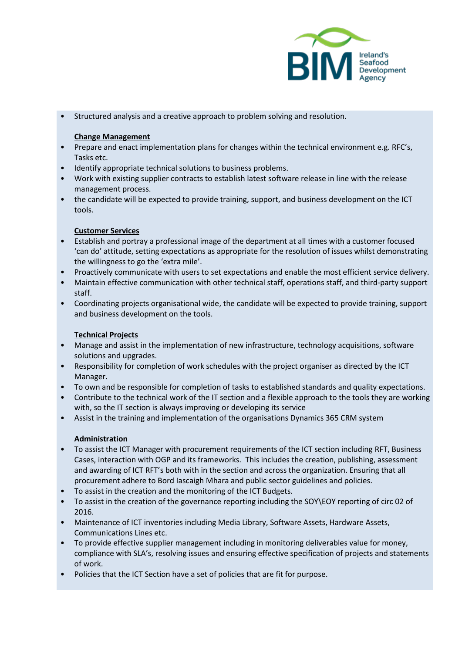

• Structured analysis and a creative approach to problem solving and resolution.

## **Change Management**

- Prepare and enact implementation plans for changes within the technical environment e.g. RFC's, Tasks etc.
- Identify appropriate technical solutions to business problems.
- Work with existing supplier contracts to establish latest software release in line with the release management process.
- the candidate will be expected to provide training, support, and business development on the ICT tools.

# **Customer Services**

- Establish and portray a professional image of the department at all times with a customer focused 'can do' attitude, setting expectations as appropriate for the resolution of issues whilst demonstrating the willingness to go the 'extra mile'.
- Proactively communicate with users to set expectations and enable the most efficient service delivery.
- Maintain effective communication with other technical staff, operations staff, and third-party support staff.
- Coordinating projects organisational wide, the candidate will be expected to provide training, support and business development on the tools.

# **Technical Projects**

- Manage and assist in the implementation of new infrastructure, technology acquisitions, software solutions and upgrades.
- Responsibility for completion of work schedules with the project organiser as directed by the ICT Manager.
- To own and be responsible for completion of tasks to established standards and quality expectations.
- Contribute to the technical work of the IT section and a flexible approach to the tools they are working with, so the IT section is always improving or developing its service
- Assist in the training and implementation of the organisations Dynamics 365 CRM system

# **Administration**

- To assist the ICT Manager with procurement requirements of the ICT section including RFT, Business Cases, interaction with OGP and its frameworks. This includes the creation, publishing, assessment and awarding of ICT RFT's both with in the section and across the organization. Ensuring that all procurement adhere to Bord Iascaigh Mhara and public sector guidelines and policies.
- To assist in the creation and the monitoring of the ICT Budgets.
- To assist in the creation of the governance reporting including the SOY\EOY reporting of circ 02 of 2016.
- Maintenance of ICT inventories including Media Library, Software Assets, Hardware Assets, Communications Lines etc.
- To provide effective supplier management including in monitoring deliverables value for money, compliance with SLA's, resolving issues and ensuring effective specification of projects and statements of work.
- Policies that the ICT Section have a set of policies that are fit for purpose.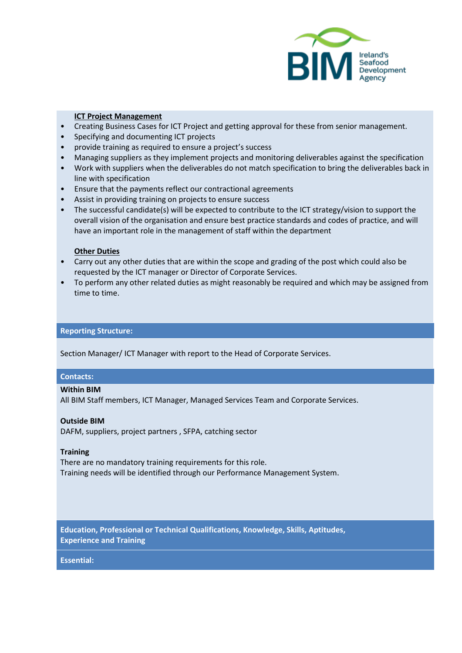

### **ICT Project Management**

- Creating Business Cases for ICT Project and getting approval for these from senior management.
- Specifying and documenting ICT projects
- provide training as required to ensure a project's success
- Managing suppliers as they implement projects and monitoring deliverables against the specification
- Work with suppliers when the deliverables do not match specification to bring the deliverables back in line with specification
- Ensure that the payments reflect our contractional agreements
- Assist in providing training on projects to ensure success
- The successful candidate(s) will be expected to contribute to the ICT strategy/vision to support the overall vision of the organisation and ensure best practice standards and codes of practice, and will have an important role in the management of staff within the department

#### **Other Duties**

- Carry out any other duties that are within the scope and grading of the post which could also be requested by the ICT manager or Director of Corporate Services.
- To perform any other related duties as might reasonably be required and which may be assigned from time to time.

#### **Reporting Structure:**

Section Manager/ ICT Manager with report to the Head of Corporate Services.

#### **Contacts:**

#### **Within BIM**

All BIM Staff members, ICT Manager, Managed Services Team and Corporate Services.

#### **Outside BIM**

DAFM, suppliers, project partners , SFPA, catching sector

#### **Training**

There are no mandatory training requirements for this role. Training needs will be identified through our Performance Management System.

**Education, Professional or Technical Qualifications, Knowledge, Skills, Aptitudes, Experience and Training**

#### **Essential:**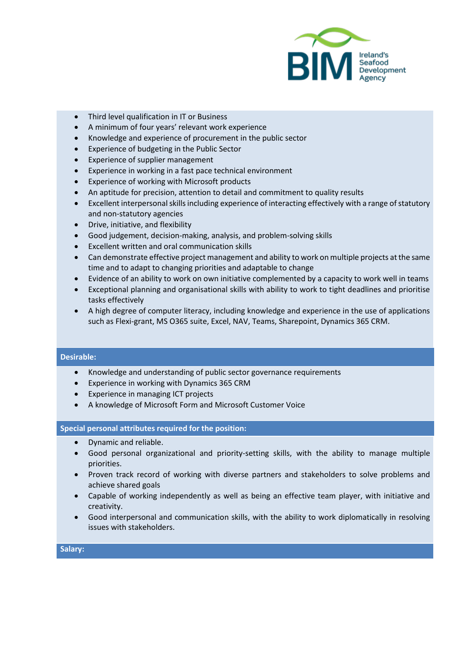

- Third level qualification in IT or Business
- A minimum of four years' relevant work experience
- Knowledge and experience of procurement in the public sector
- Experience of budgeting in the Public Sector
- Experience of supplier management
- Experience in working in a fast pace technical environment
- Experience of working with Microsoft products
- An aptitude for precision, attention to detail and commitment to quality results
- Excellent interpersonal skills including experience of interacting effectively with a range of statutory and non-statutory agencies
- Drive, initiative, and flexibility
- Good judgement, decision-making, analysis, and problem-solving skills
- Excellent written and oral communication skills
- Can demonstrate effective project management and ability to work on multiple projects at the same time and to adapt to changing priorities and adaptable to change
- Evidence of an ability to work on own initiative complemented by a capacity to work well in teams
- Exceptional planning and organisational skills with ability to work to tight deadlines and prioritise tasks effectively
- A high degree of computer literacy, including knowledge and experience in the use of applications such as Flexi-grant, MS O365 suite, Excel, NAV, Teams, Sharepoint, Dynamics 365 CRM.

### **Desirable:**

- Knowledge and understanding of public sector governance requirements
- Experience in working with Dynamics 365 CRM
- Experience in managing ICT projects
- A knowledge of Microsoft Form and Microsoft Customer Voice

### **Special personal attributes required for the position:**

- Dynamic and reliable.
- Good personal organizational and priority-setting skills, with the ability to manage multiple priorities.
- Proven track record of working with diverse partners and stakeholders to solve problems and achieve shared goals
- Capable of working independently as well as being an effective team player, with initiative and creativity.
- Good interpersonal and communication skills, with the ability to work diplomatically in resolving issues with stakeholders.

#### **Salary:**